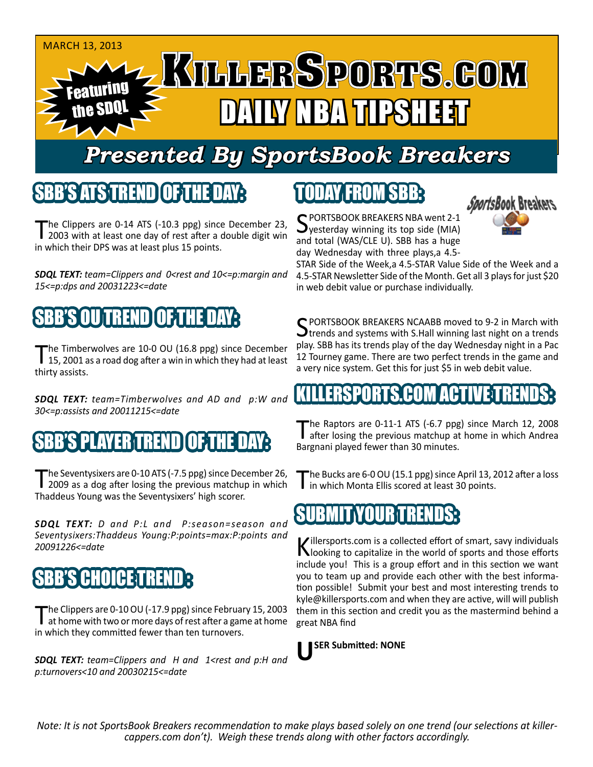

## *Presented By SportsBook Breakers*

#### SBB'S ATSTREND

The Clippers are 0-14 ATS (-10.3 ppg) since December 23,<br>2003 with at least one day of rest after a double digit win in which their DPS was at least plus 15 points.

*SDQL TEXT: team=Clippers and 0<rest and 10<=p:margin and 15<=p:dps and 20031223<=date*

### TREND **I**

The Timberwolves are 10-0 OU (16.8 ppg) since December<br>15, 2001 as a road dog after a win in which they had at least thirty assists.

*SDQL TEXT: team=Timberwolves and AD and p:W and 30<=p:assists and 20011215<=date*

#### 'S PLAYER TREND

The Seventysixers are 0-10 ATS (-7.5 ppg) since December 26,<br>2009 as a dog after losing the previous matchup in which Thaddeus Young was the Seventysixers' high scorer.

*SDQL TEXT: D and P:L and P:season=season and Seventysixers:Thaddeus Young:P:points=max:P:points and 20091226<=date*

#### **IB'S CHOICE TRE**

The Clippers are 0-10 OU (-17.9 ppg) since February 15, 2003 at home with two or more days of rest after a game at home in which they committed fewer than ten turnovers.

*SDQL TEXT: team=Clippers and H and 1<rest and p:H and p:turnovers<10 and 20030215<=date*

# TODAY FROM SBB:



SPORTSBOOK BREAKERS NBA went 2-1<br>Syesterday winning its top side (MIA) and total (WAS/CLE U). SBB has a huge day Wednesday with three plays,a 4.5-

STAR Side of the Week,a 4.5-STAR Value Side of the Week and a 4.5-STAR Newsletter Side of the Month. Get all 3 plays for just \$20 in web debit value or purchase individually.

SPORTSBOOK BREAKERS NCAABB moved to 9-2 in March with Strends and systems with S.Hall winning last night on a trends play. SBB has its trends play of the day Wednesday night in a Pac 12 Tourney game. There are two perfect trends in the game and a very nice system. Get this for just \$5 in web debit value.

#### ERSPORTS.CO

The Raptors are 0-11-1 ATS (-6.7 ppg) since March 12, 2008<br>after losing the previous matchup at home in which Andrea Bargnani played fewer than 30 minutes.

The Bucks are 6-0 OU (15.1 ppg) since April 13, 2012 after a loss<br>in which Monta Ellis scored at least 30 points.

#### SUBMITYOU

Killersports.com is a collected effort of smart, savy individuals<br>Nooking to capitalize in the world of sports and those efforts include you! This is a group effort and in this section we want you to team up and provide each other with the best information possible! Submit your best and most interesting trends to kyle@killersports.com and when they are active, will will publish them in this section and credit you as the mastermind behind a great NBA find



*Note: It is not SportsBook Breakers recommendation to make plays based solely on one trend (our selections at killercappers.com don't). Weigh these trends along with other factors accordingly.*